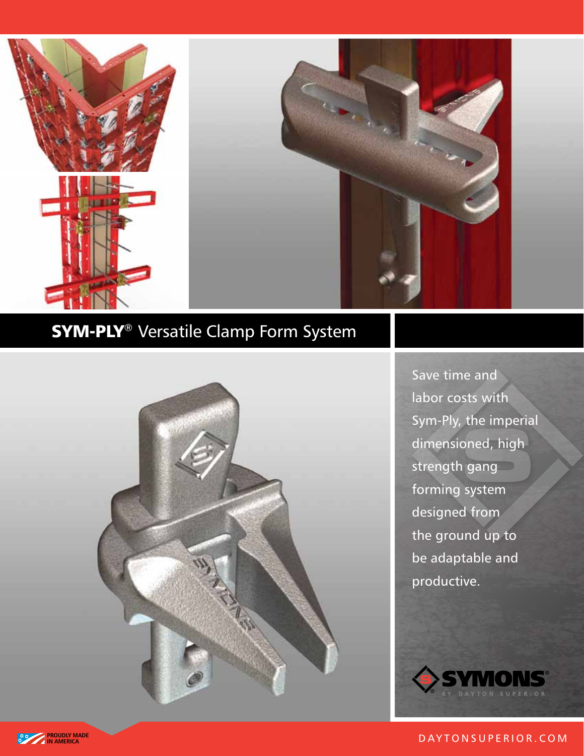



# **SYM-PLY<sup>®</sup>** Versatile Clamp Form System



Save time and labor costs with Sym‑Ply, the imperial dimensioned, high strength gang forming system designed from the ground up to be adaptable and productive.



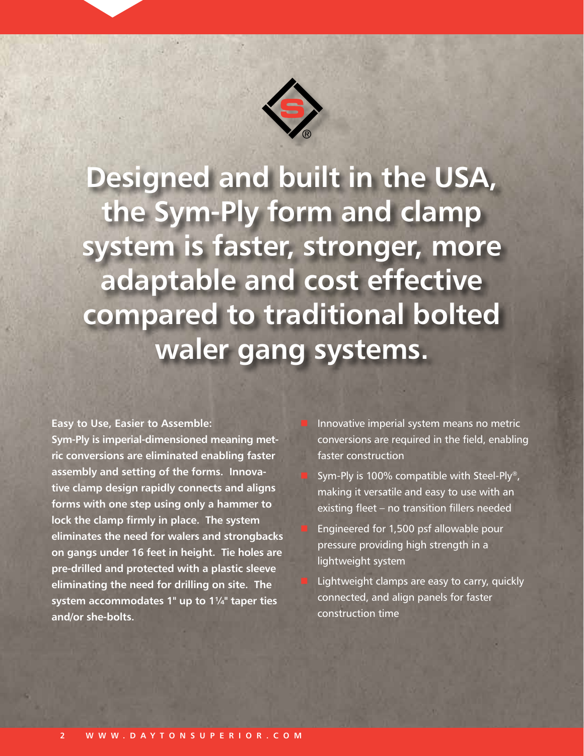

**Designed and built in the USA, the Sym-Ply form and clamp system is faster, stronger, more adaptable and cost effective compared to traditional bolted waler gang systems.**

**Easy to Use, Easier to Assemble:**

**Sym-Ply is imperial-dimensioned meaning metric conversions are eliminated enabling faster assembly and setting of the forms. Innovative clamp design rapidly connects and aligns forms with one step using only a hammer to lock the clamp firmly in place. The system eliminates the need for walers and strongbacks on gangs under 16 feet in height. Tie holes are pre-drilled and protected with a plastic sleeve eliminating the need for drilling on site. The system accommodates 1" up to 1¼" taper ties and/or she-bolts.**

 Innovative imperial system means no metric conversions are required in the field, enabling faster construction

 Sym-Ply is 100% compatible with Steel-Ply®, making it versatile and easy to use with an existing fleet – no transition fillers needed

 Engineered for 1,500 psf allowable pour pressure providing high strength in a lightweight system

 Lightweight clamps are easy to carry, quickly connected, and align panels for faster construction time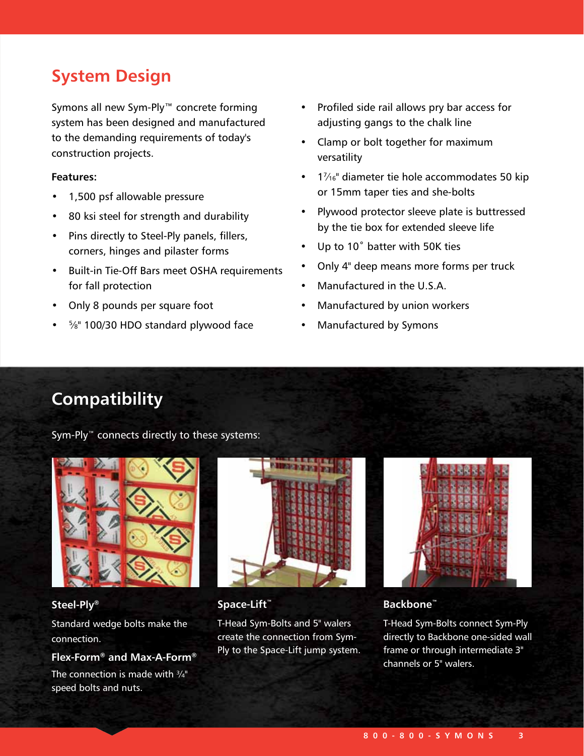# **System Design**

Symons all new Sym-Ply™ concrete forming system has been designed and manufactured to the demanding requirements of today's construction projects.

# **Features:**

- 1,500 psf allowable pressure
- 80 ksi steel for strength and durability
- Pins directly to Steel-Ply panels, fillers, corners, hinges and pilaster forms
- Built-in Tie-Off Bars meet OSHA requirements for fall protection
- Only 8 pounds per square foot
- <sup>5</sup>/<sub>8</sub>" 100/30 HDO standard plywood face
- Profiled side rail allows pry bar access for adjusting gangs to the chalk line
- Clamp or bolt together for maximum versatility
- $\cdot$  1/<sub>16</sub>" diameter tie hole accommodates 50 kip or 15mm taper ties and she-bolts
- Plywood protector sleeve plate is buttressed by the tie box for extended sleeve life
- Up to 10˚ batter with 50K ties
- Only 4" deep means more forms per truck
- Manufactured in the U.S.A.
- Manufactured by union workers
- Manufactured by Symons

# **Compatibility**

Sym-Ply™ connects directly to these systems:



### **Steel-Ply®**

Standard wedge bolts make the connection.

# **Flex-Form® and Max-A-Form®**

The connection is made with  $\frac{3}{4}$ " speed bolts and nuts.



**Space-Lift™**

T-Head Sym-Bolts and 5" walers create the connection from Sym-Ply to the Space-Lift jump system.



# **Backbone™**

T-Head Sym‑Bolts connect Sym‑Ply directly to Backbone one-sided wall frame or through intermediate 3" channels or 5" walers.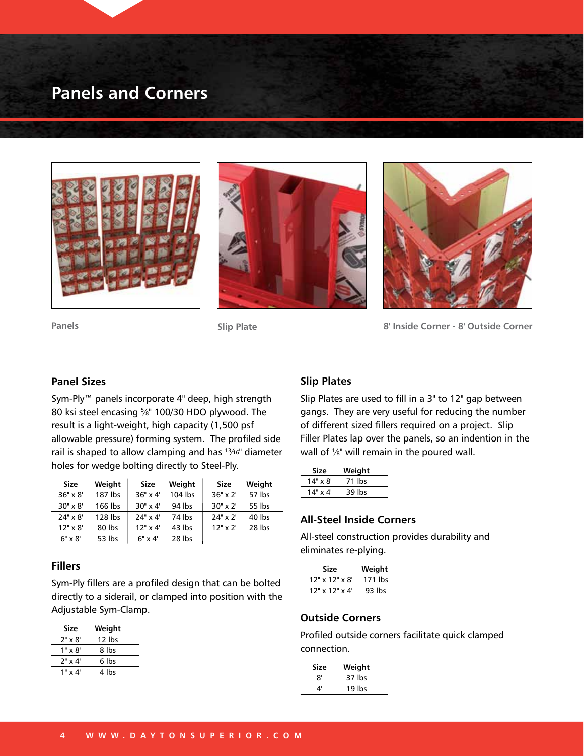# **Panels and Corners**







**Panels Slip Plate 8' Inside Corner - 8' Outside Corner** 

#### **Panel Sizes**

Sym-Ply™ panels incorporate 4" deep, high strength 80 ksi steel encasing 5 ⁄8" 100/30 HDO plywood. The result is a light-weight, high capacity (1,500 psf allowable pressure) forming system. The profiled side rail is shaped to allow clamping and has 13⁄16" diameter holes for wedge bolting directly to Steel-Ply.

| Size             | Weight  | Size             | Weight  | Size             | Weight |
|------------------|---------|------------------|---------|------------------|--------|
| $36" \times 8'$  | 187 lbs | $36" \times 4'$  | 104 lbs | $36" \times 2'$  | 57 lbs |
| $30'' \times 8'$ | 166 lbs | $30'' \times 4'$ | 94 lbs  | $30'' \times 2'$ | 55 lbs |
| $24" \times 8'$  | 128 lbs | $24" \times 4'$  | 74 lbs  | $24" \times 2'$  | 40 lbs |
| $12" \times 8'$  | 80 lbs  | $12" \times 4'$  | 43 lbs  | $12"$ x $2'$     | 28 lbs |
| $6" \times 8'$   | 53 lbs  | $6" \times 4'$   | 28 lbs  |                  |        |

#### **Fillers**

Sym‑Ply fillers are a profiled design that can be bolted directly to a siderail, or clamped into position with the Adjustable Sym-Clamp.

| Size           | Weight |
|----------------|--------|
| $2" \times 8'$ | 12 lbs |
| $1" \times 8'$ | 8 lbs  |
| $2" \times 4'$ | რ lbs  |
| $1" \times 4'$ | 4 lbs  |
|                |        |

# **Slip Plates**

Slip Plates are used to fill in a 3" to 12" gap between gangs. They are very useful for reducing the number of different sized fillers required on a project. Slip Filler Plates lap over the panels, so an indention in the wall of  $\frac{1}{8}$ " will remain in the poured wall.

| <b>Size</b>     | Weight |  |
|-----------------|--------|--|
| $14" \times 8'$ | 71 lbs |  |
| $14" \times 4'$ | 39 lbs |  |
|                 |        |  |

### **All-Steel Inside Corners**

All-steel construction provides durability and eliminates re-plying.

| Size                 | Weight  |  |
|----------------------|---------|--|
| $12"$ x $12"$ x $8'$ | 171 lbs |  |
| $12"$ x $12"$ x $4'$ | 93 lbs  |  |
|                      |         |  |

#### **Outside Corners**

Profiled outside corners facilitate quick clamped connection.

| Size | Weight |  |
|------|--------|--|
| 8'   | 37 lbs |  |
| 4'   | 19 lbs |  |
|      |        |  |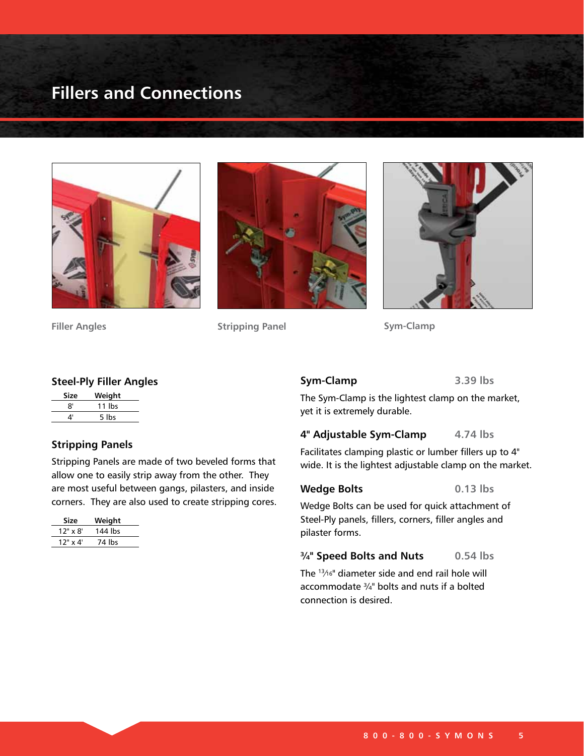# **Fillers and Connections**







**Filler Angles Stripping Panel Sym-Clamp**

### **Steel-Ply Filler Angles**

| Size | Weight   |
|------|----------|
| 8'   | $11$ lbs |
| 4'   | 5 lbs    |

### **Stripping Panels**

Stripping Panels are made of two beveled forms that allow one to easily strip away from the other. They are most useful between gangs, pilasters, and inside corners. They are also used to create stripping cores.

| Size            | Weight  |
|-----------------|---------|
| $12" \times 8'$ | 144 lbs |
| $12"$ x 4'      | 74 lbs  |

### **Sym-Clamp 3.39 lbs**

The Sym-Clamp is the lightest clamp on the market, yet it is extremely durable.

### **4" Adjustable Sym-Clamp 4.74 lbs**

Facilitates clamping plastic or lumber fillers up to 4" wide. It is the lightest adjustable clamp on the market.

# Wedge Bolts **6.13** lbs

Wedge Bolts can be used for quick attachment of Steel-Ply panels, fillers, corners, filler angles and pilaster forms.

#### **¾" Speed Bolts and Nuts 0.54 lbs**

The 13⁄16" diameter side and end rail hole will accommodate ¾" bolts and nuts if a bolted connection is desired.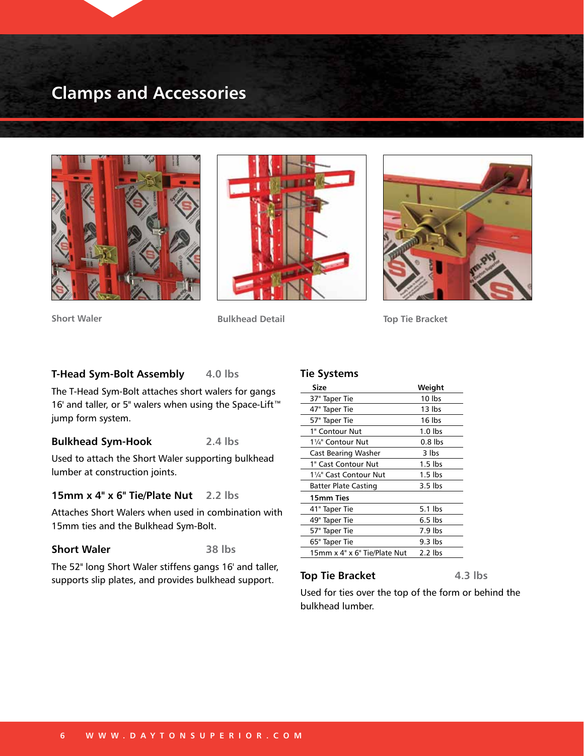# **Clamps and Accessories**







**Short Waler Bulkhead Detail Top Tie Bracket** 

#### **T-Head Sym-Bolt Assembly 4.0 lbs**

The T-Head Sym-Bolt attaches short walers for gangs 16' and taller, or 5" walers when using the Space-Lift™ jump form system.

# **Bulkhead Sym-Hook 2.4 lbs**

Used to attach the Short Waler supporting bulkhead lumber at construction joints.

### **15mm x 4" x 6" Tie/Plate Nut 2.2 lbs**

Attaches Short Walers when used in combination with 15mm ties and the Bulkhead Sym-Bolt.

### **Short Waler 38 lbs**

The 52" long Short Waler stiffens gangs 16' and taller, supports slip plates, and provides bulkhead support.

#### **Tie Systems**

| Size                         | Weight    |
|------------------------------|-----------|
| 37" Taper Tie                | 10 lbs    |
| 47" Taper Tie                | 13 lbs    |
| 57" Taper Tie                | 16 lbs    |
| 1" Contour Nut               | $1.0$ lbs |
| 11/4" Contour Nut            | $0.8$ lbs |
| <b>Cast Bearing Washer</b>   | 3 lbs     |
| 1" Cast Contour Nut          | $1.5$ lbs |
| 1¼" Cast Contour Nut         | $1.5$ lbs |
| Batter Plate Casting         | $3.5$ lbs |
| 15mm Ties                    |           |
| 41" Taper Tie                | $5.1$ lbs |
| 49" Taper Tie                | $6.5$ lbs |
| 57" Taper Tie                | 7.9 lbs   |
| 65" Taper Tie                | 9.3 lbs   |
| 15mm x 4" x 6" Tie/Plate Nut | $2.2$ lbs |
|                              |           |

#### **Top Tie Bracket** 4.3 lbs

Used for ties over the top of the form or behind the bulkhead lumber.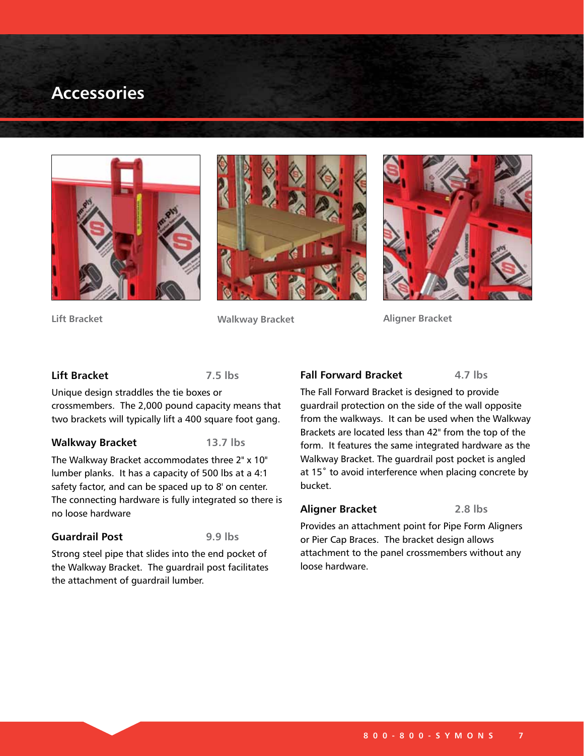# **Accessories**







**Lift Bracket**

**Walkway Bracket Aligner Bracket**

#### **Lift Bracket 7.5 lbs**

Unique design straddles the tie boxes or crossmembers. The 2,000 pound capacity means that two brackets will typically lift a 400 square foot gang.

#### **Walkway Bracket 13.7 lbs**

The Walkway Bracket accommodates three 2" x 10" lumber planks. It has a capacity of 500 lbs at a 4:1 safety factor, and can be spaced up to 8' on center. The connecting hardware is fully integrated so there is

no loose hardware

### **Guardrail Post 9.9 lbs**

Strong steel pipe that slides into the end pocket of the Walkway Bracket. The guardrail post facilitates the attachment of guardrail lumber.

# **Fall Forward Bracket** 4.7 lbs

The Fall Forward Bracket is designed to provide guardrail protection on the side of the wall opposite from the walkways. It can be used when the Walkway Brackets are located less than 42" from the top of the form. It features the same integrated hardware as the Walkway Bracket. The guardrail post pocket is angled at 15° to avoid interference when placing concrete by bucket.

#### **Aligner Bracket 2.8 lbs**

Provides an attachment point for Pipe Form Aligners or Pier Cap Braces. The bracket design allows attachment to the panel crossmembers without any loose hardware.